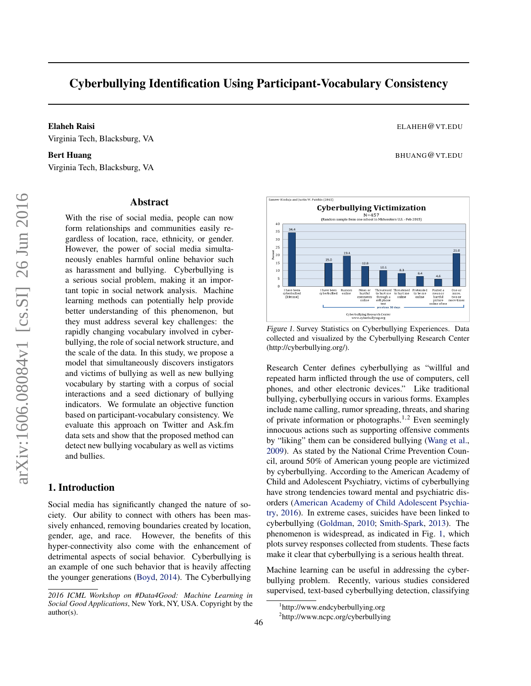# Cyberbullying Identification Using Participant-Vocabulary Consistency

Sameer Hinduja and Justin W. Patchin (2015)

Elaheh Raisi ELAHEH@VT.EDU Virginia Tech, Blacksburg, VA

#### Bert Huang BHUANG@VT.EDU

Virginia Tech, Blacksburg, VA

#### Abstract

With the rise of social media, people can now form relationships and communities easily regardless of location, race, ethnicity, or gender. However, the power of social media simultaneously enables harmful online behavior such as harassment and bullying. Cyberbullying is a serious social problem, making it an important topic in social network analysis. Machine learning methods can potentially help provide better understanding of this phenomenon, but they must address several key challenges: the rapidly changing vocabulary involved in cyberbullying, the role of social network structure, and the scale of the data. In this study, we propose a model that simultaneously discovers instigators and victims of bullying as well as new bullying vocabulary by starting with a corpus of social interactions and a seed dictionary of bullying indicators. We formulate an objective function based on participant-vocabulary consistency. We evaluate this approach on Twitter and Ask.fm data sets and show that the proposed method can detect new bullying vocabulary as well as victims and bullies.

## 1. Introduction

Social media has significantly changed the nature of society. Our ability to connect with others has been massively enhanced, removing boundaries created by location, gender, age, and race. However, the benefits of this hyper-connectivity also come with the enhancement of detrimental aspects of social behavior. Cyberbullying is an example of one such behavior that is heavily affecting the younger generations [\(Boyd,](#page-4-0) [2014\)](#page-4-0). The Cyberbullying



Figure 1. Survey Statistics on Cyberbullying Experiences. Data collected and visualized by the Cyberbullying Research Center (http://cyberbullying.org/).

Research Center defines cyberbullying as "willful and repeated harm inflicted through the use of computers, cell phones, and other electronic devices." Like traditional bullying, cyberbullying occurs in various forms. Examples include name calling, rumor spreading, threats, and sharing of private information or photographs.<sup>1,2</sup> Even seemingly innocuous actions such as supporting offensive comments by "liking" them can be considered bullying [\(Wang et al.,](#page-4-0) [2009\)](#page-4-0). As stated by the National Crime Prevention Council, around 50% of American young people are victimized by cyberbullying. According to the American Academy of Child and Adolescent Psychiatry, victims of cyberbullying have strong tendencies toward mental and psychiatric disorders [\(American Academy of Child Adolescent Psychia](#page-4-0)[try,](#page-4-0) [2016\)](#page-4-0). In extreme cases, suicides have been linked to cyberbullying [\(Goldman,](#page-4-0) [2010;](#page-4-0) [Smith-Spark,](#page-4-0) [2013\)](#page-4-0). The phenomenon is widespread, as indicated in Fig. 1, which plots survey responses collected from students. These facts make it clear that cyberbullying is a serious health threat.

Machine learning can be useful in addressing the cyberbullying problem. Recently, various studies considered supervised, text-based cyberbullying detection, classifying

*<sup>2016</sup> ICML Workshop on #Data4Good: Machine Learning in Social Good Applications*, New York, NY, USA. Copyright by the author(s).

<sup>1</sup> http://www.endcyberbullying.org

<sup>&</sup>lt;sup>2</sup>http://www.ncpc.org/cyberbullying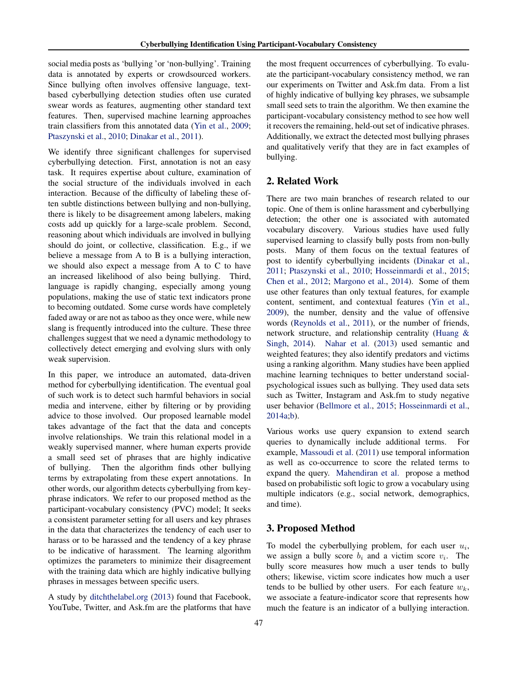social media posts as 'bullying 'or 'non-bullying'. Training data is annotated by experts or crowdsourced workers. Since bullying often involves offensive language, textbased cyberbullying detection studies often use curated swear words as features, augmenting other standard text features. Then, supervised machine learning approaches train classifiers from this annotated data [\(Yin et al.,](#page-4-0) [2009;](#page-4-0) [Ptaszynski et al.,](#page-4-0) [2010;](#page-4-0) [Dinakar et al.,](#page-4-0) [2011\)](#page-4-0).

We identify three significant challenges for supervised cyberbullying detection. First, annotation is not an easy task. It requires expertise about culture, examination of the social structure of the individuals involved in each interaction. Because of the difficulty of labeling these often subtle distinctions between bullying and non-bullying, there is likely to be disagreement among labelers, making costs add up quickly for a large-scale problem. Second, reasoning about which individuals are involved in bullying should do joint, or collective, classification. E.g., if we believe a message from A to B is a bullying interaction, we should also expect a message from A to C to have an increased likelihood of also being bullying. Third, language is rapidly changing, especially among young populations, making the use of static text indicators prone to becoming outdated. Some curse words have completely faded away or are not as taboo as they once were, while new slang is frequently introduced into the culture. These three challenges suggest that we need a dynamic methodology to collectively detect emerging and evolving slurs with only weak supervision.

In this paper, we introduce an automated, data-driven method for cyberbullying identification. The eventual goal of such work is to detect such harmful behaviors in social media and intervene, either by filtering or by providing advice to those involved. Our proposed learnable model takes advantage of the fact that the data and concepts involve relationships. We train this relational model in a weakly supervised manner, where human experts provide a small seed set of phrases that are highly indicative of bullying. Then the algorithm finds other bullying terms by extrapolating from these expert annotations. In other words, our algorithm detects cyberbullying from keyphrase indicators. We refer to our proposed method as the participant-vocabulary consistency (PVC) model; It seeks a consistent parameter setting for all users and key phrases in the data that characterizes the tendency of each user to harass or to be harassed and the tendency of a key phrase to be indicative of harassment. The learning algorithm optimizes the parameters to minimize their disagreement with the training data which are highly indicative bullying phrases in messages between specific users.

A study by [ditchthelabel.org](#page-4-0) [\(2013\)](#page-4-0) found that Facebook, YouTube, Twitter, and Ask.fm are the platforms that have the most frequent occurrences of cyberbullying. To evaluate the participant-vocabulary consistency method, we ran our experiments on Twitter and Ask.fm data. From a list of highly indicative of bullying key phrases, we subsample small seed sets to train the algorithm. We then examine the participant-vocabulary consistency method to see how well it recovers the remaining, held-out set of indicative phrases. Additionally, we extract the detected most bullying phrases and qualitatively verify that they are in fact examples of bullying.

## 2. Related Work

There are two main branches of research related to our topic. One of them is online harassment and cyberbullying detection; the other one is associated with automated vocabulary discovery. Various studies have used fully supervised learning to classify bully posts from non-bully posts. Many of them focus on the textual features of post to identify cyberbullying incidents [\(Dinakar et al.,](#page-4-0) [2011;](#page-4-0) [Ptaszynski et al.,](#page-4-0) [2010;](#page-4-0) [Hosseinmardi et al.,](#page-4-0) [2015;](#page-4-0) [Chen et al.,](#page-4-0) [2012;](#page-4-0) [Margono et al.,](#page-4-0) [2014\)](#page-4-0). Some of them use other features than only textual features, for example content, sentiment, and contextual features [\(Yin et al.,](#page-4-0) [2009\)](#page-4-0), the number, density and the value of offensive words [\(Reynolds et al.,](#page-4-0) [2011\)](#page-4-0), or the number of friends, network structure, and relationship centrality [\(Huang &](#page-4-0) [Singh,](#page-4-0) [2014\)](#page-4-0). [Nahar et al.](#page-4-0) [\(2013\)](#page-4-0) used semantic and weighted features; they also identify predators and victims using a ranking algorithm. Many studies have been applied machine learning techniques to better understand socialpsychological issues such as bullying. They used data sets such as Twitter, Instagram and Ask.fm to study negative user behavior [\(Bellmore et al.,](#page-4-0) [2015;](#page-4-0) [Hosseinmardi et al.,](#page-4-0) [2014a;b\)](#page-4-0).

Various works use query expansion to extend search queries to dynamically include additional terms. For example, [Massoudi et al.](#page-4-0) [\(2011\)](#page-4-0) use temporal information as well as co-occurrence to score the related terms to expand the query. [Mahendiran et al.](#page-4-0) propose a method based on probabilistic soft logic to grow a vocabulary using multiple indicators (e.g., social network, demographics, and time).

## 3. Proposed Method

To model the cyberbullying problem, for each user  $u_i$ , we assign a bully score  $b_i$  and a victim score  $v_i$ . The bully score measures how much a user tends to bully others; likewise, victim score indicates how much a user tends to be bullied by other users. For each feature  $w_k$ , we associate a feature-indicator score that represents how much the feature is an indicator of a bullying interaction.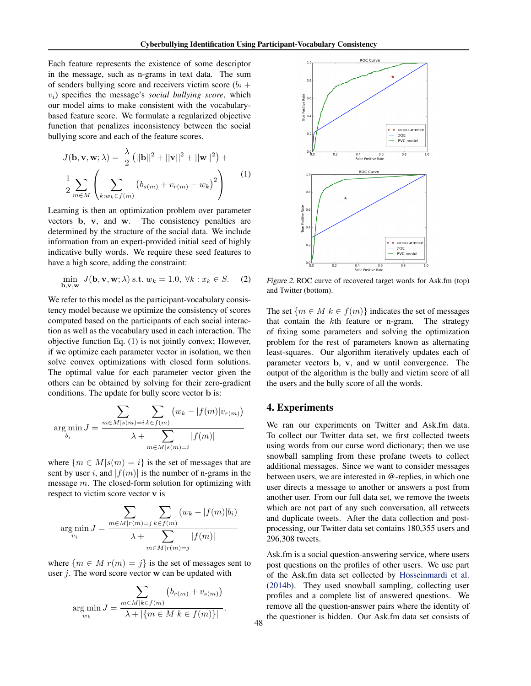<span id="page-2-0"></span>Each feature represents the existence of some descriptor in the message, such as n-grams in text data. The sum of senders bullying score and receivers victim score  $(b_i +$ vi) specifies the message's *social bullying score*, which our model aims to make consistent with the vocabularybased feature score. We formulate a regularized objective function that penalizes inconsistency between the social bullying score and each of the feature scores.

$$
J(\mathbf{b}, \mathbf{v}, \mathbf{w}; \lambda) = \frac{\lambda}{2} (||\mathbf{b}||^2 + ||\mathbf{v}||^2 + ||\mathbf{w}||^2) +
$$
  

$$
\frac{1}{2} \sum_{m \in M} \left( \sum_{k:w_k \in f(m)} (b_{s(m)} + v_{r(m)} - w_k)^2 \right)
$$
 (1)

Learning is then an optimization problem over parameter vectors b, v, and w. The consistency penalties are determined by the structure of the social data. We include information from an expert-provided initial seed of highly indicative bully words. We require these seed features to have a high score, adding the constraint:

$$
\min_{\mathbf{b}, \mathbf{v}, \mathbf{w}} J(\mathbf{b}, \mathbf{v}, \mathbf{w}; \lambda) \text{ s.t. } w_k = 1.0, \forall k : x_k \in S. \tag{2}
$$

We refer to this model as the participant-vocabulary consistency model because we optimize the consistency of scores computed based on the participants of each social interaction as well as the vocabulary used in each interaction. The objective function Eq. (1) is not jointly convex; However, if we optimize each parameter vector in isolation, we then solve convex optimizations with closed form solutions. The optimal value for each parameter vector given the others can be obtained by solving for their zero-gradient conditions. The update for bully score vector b is:

$$
\arg\min_{b_i} J = \frac{\sum_{m \in M | s(m) = i} \sum_{k \in f(m)} (w_k - |f(m)|v_{r(m)})}{\lambda + \sum_{m \in M | s(m) = i} |f(m)|}
$$

where  ${m \in M | s(m) = i}$  is the set of messages that are sent by user i, and  $|f(m)|$  is the number of n-grams in the message m. The closed-form solution for optimizing with respect to victim score vector v is

$$
\arg\min_{v_j} J = \frac{\sum_{m \in M|r(m)=j} \sum_{k \in f(m)} (w_k - |f(m)|b_i)}{\lambda + \sum_{m \in M|r(m)=j} |f(m)|}
$$

where  ${m \in M|r(m) = j}$  is the set of messages sent to user  $i$ . The word score vector  $w$  can be updated with

$$
\arg\min_{w_k} J = \frac{\sum_{m \in M | k \in f(m)} (b_{r(m)} + v_{s(m)})}{\lambda + |\{m \in M | k \in f(m)\}|}.
$$



Figure 2. ROC curve of recovered target words for Ask.fm (top) and Twitter (bottom).

The set  $\{m \in M | k \in f(m)\}\$ indicates the set of messages that contain the kth feature or n-gram. The strategy of fixing some parameters and solving the optimization problem for the rest of parameters known as alternating least-squares. Our algorithm iteratively updates each of parameter vectors b, v, and w until convergence. The output of the algorithm is the bully and victim score of all the users and the bully score of all the words.

## 4. Experiments

48

We ran our experiments on Twitter and Ask.fm data. To collect our Twitter data set, we first collected tweets using words from our curse word dictionary; then we use snowball sampling from these profane tweets to collect additional messages. Since we want to consider messages between users, we are interested in @-replies, in which one user directs a message to another or answers a post from another user. From our full data set, we remove the tweets which are not part of any such conversation, all retweets and duplicate tweets. After the data collection and postprocessing, our Twitter data set contains 180,355 users and 296,308 tweets.

Ask.fm is a social question-answering service, where users post questions on the profiles of other users. We use part of the Ask.fm data set collected by [Hosseinmardi et al.](#page-4-0) [\(2014b\)](#page-4-0). They used snowball sampling, collecting user profiles and a complete list of answered questions. We remove all the question-answer pairs where the identity of the questioner is hidden. Our Ask.fm data set consists of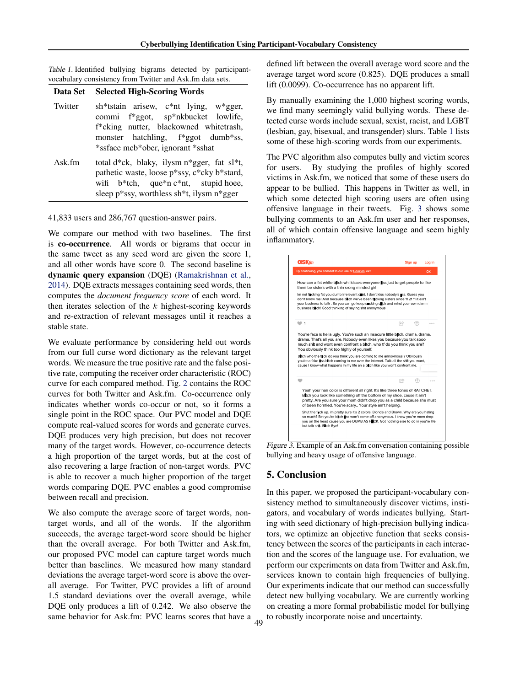| Table 1. Identified bullying bigrams detected by participant- |  |  |  |
|---------------------------------------------------------------|--|--|--|
| vocabulary consistency from Twitter and Ask.fm data sets.     |  |  |  |

| Data Set | <b>Selected High-Scoring Words</b>                                                                                                                                                                                     |
|----------|------------------------------------------------------------------------------------------------------------------------------------------------------------------------------------------------------------------------|
| Twitter  | sh*tstain arisew, $c^*$ nt lying, w*gger,<br>commi f*ggot, sp*nkbucket lowlife,<br>f*cking nutter, blackowned whitetrash,<br>monster hatchling, f*ggot dumb*ss,<br>*ssface mcb*ober, ignorant *sshat                   |
| $Ask$ fm | total $d * ck$ , blaky, ilysm $n * gger$ , fat sl*t,<br>pathetic waste, loose p*ssy, c*cky b*stard,<br>wifi $b^*$ tch, que <sup>*</sup> n c <sup>*</sup> nt, stupid hoee,<br>sleep p*ssy, worthless sh*t, ilysm n*gger |

41,833 users and 286,767 question-answer pairs.

We compare our method with two baselines. The first is co-occurrence. All words or bigrams that occur in the same tweet as any seed word are given the score 1, and all other words have score 0. The second baseline is dynamic query expansion (DQE) [\(Ramakrishnan et al.,](#page-4-0) [2014\)](#page-4-0). DQE extracts messages containing seed words, then computes the *document frequency score* of each word. It then iterates selection of the  $k$  highest-scoring keywords and re-extraction of relevant messages until it reaches a stable state.

We evaluate performance by considering held out words from our full curse word dictionary as the relevant target words. We measure the true positive rate and the false positive rate, computing the receiver order characteristic (ROC) curve for each compared method. Fig. [2](#page-2-0) contains the ROC curves for both Twitter and Ask.fm. Co-occurrence only indicates whether words co-occur or not, so it forms a single point in the ROC space. Our PVC model and DQE compute real-valued scores for words and generate curves. DQE produces very high precision, but does not recover many of the target words. However, co-occurrence detects a high proportion of the target words, but at the cost of also recovering a large fraction of non-target words. PVC is able to recover a much higher proportion of the target words comparing DQE. PVC enables a good compromise between recall and precision.

We also compute the average score of target words, nontarget words, and all of the words. If the algorithm succeeds, the average target-word score should be higher than the overall average. For both Twitter and Ask.fm, our proposed PVC model can capture target words much better than baselines. We measured how many standard deviations the average target-word score is above the overall average. For Twitter, PVC provides a lift of around 1.5 standard deviations over the overall average, while DQE only produces a lift of 0.242. We also observe the same behavior for Ask.fm: PVC learns scores that have a defined lift between the overall average word score and the average target word score (0.825). DQE produces a small lift (0.0099). Co-occurrence has no apparent lift.

By manually examining the 1,000 highest scoring words, we find many seemingly valid bullying words. These detected curse words include sexual, sexist, racist, and LGBT (lesbian, gay, bisexual, and transgender) slurs. Table 1 lists some of these high-scoring words from our experiments.

The PVC algorithm also computes bully and victim scores for users. By studying the profiles of highly scored victims in Ask.fm, we noticed that some of these users do appear to be bullied. This happens in Twitter as well, in which some detected high scoring users are often using offensive language in their tweets. Fig. 3 shows some bullying comments to an Ask.fm user and her responses, all of which contain offensive language and seem highly inflammatory.



Figure 3. Example of an Ask.fm conversation containing possible bullying and heavy usage of offensive language.

#### 5. Conclusion

In this paper, we proposed the participant-vocabulary consistency method to simultaneously discover victims, instigators, and vocabulary of words indicates bullying. Starting with seed dictionary of high-precision bullying indicators, we optimize an objective function that seeks consistency between the scores of the participants in each interaction and the scores of the language use. For evaluation, we perform our experiments on data from Twitter and Ask.fm, services known to contain high frequencies of bullying. Our experiments indicate that our method can successfully detect new bullying vocabulary. We are currently working on creating a more formal probabilistic model for bullying to robustly incorporate noise and uncertainty.